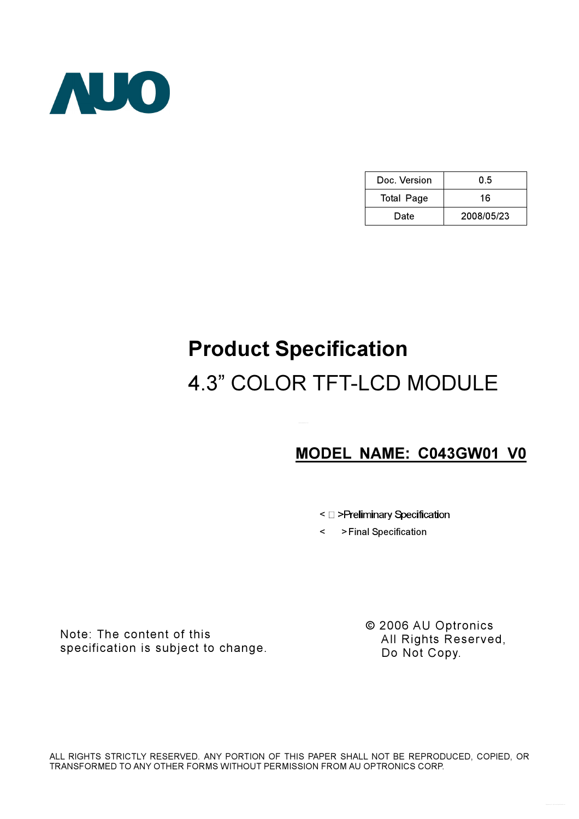

| Doc. Version      | 05         |  |  |
|-------------------|------------|--|--|
| <b>Total Page</b> | 16         |  |  |
| Date              | 2008/05/23 |  |  |

# Product Specification 4.3" COLOR TFT-LCD MODULE

## MODEL NAME: C043GW01 V0

- <  $\square$  >Preliminary Specification
- < >Final Specification

Note: The content of this specification is subject to change. © 2006 AU Optronics All Rights Reserved, Do Not Copy.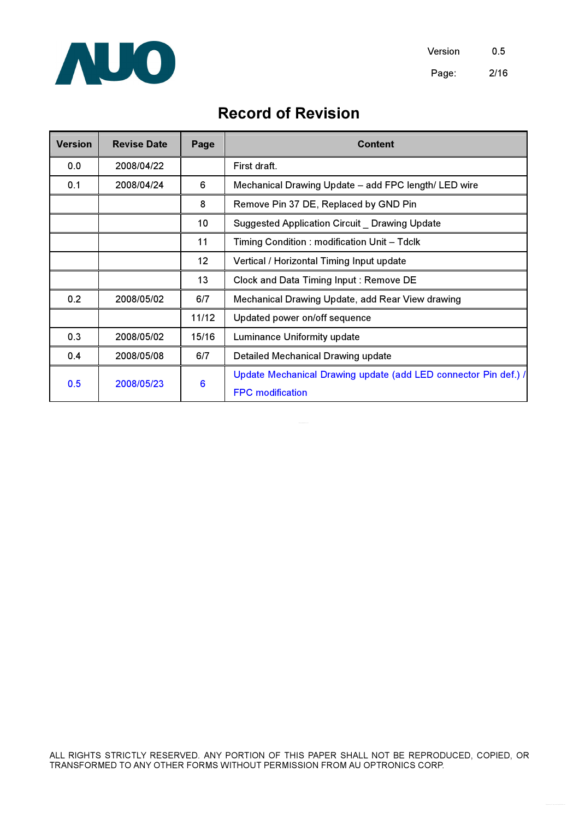

# Record of Revision

| <b>Version</b> | <b>Revise Date</b> | Page              | <b>Content</b>                                                  |  |  |
|----------------|--------------------|-------------------|-----------------------------------------------------------------|--|--|
| 0.0            | 2008/04/22         |                   | First draft.                                                    |  |  |
| 0.1            | 2008/04/24         | 6                 | Mechanical Drawing Update - add FPC length/ LED wire            |  |  |
|                |                    | 8                 | Remove Pin 37 DE, Replaced by GND Pin                           |  |  |
|                |                    | 10                | Suggested Application Circuit Drawing Update                    |  |  |
|                |                    | 11                | Timing Condition: modification Unit - Tdclk                     |  |  |
|                |                    | $12 \overline{ }$ | Vertical / Horizontal Timing Input update                       |  |  |
|                |                    | 13                | Clock and Data Timing Input: Remove DE                          |  |  |
| 0.2            | 2008/05/02         | 6/7               | Mechanical Drawing Update, add Rear View drawing                |  |  |
|                |                    | 11/12             | Updated power on/off sequence                                   |  |  |
| 0.3            | 2008/05/02         | 15/16             | Luminance Uniformity update                                     |  |  |
| 0.4            | 2008/05/08         | 6/7               | Detailed Mechanical Drawing update                              |  |  |
|                | 2008/05/23         | 6                 | Update Mechanical Drawing update (add LED connector Pin def.) / |  |  |
| 0.5            |                    |                   | <b>FPC</b> modification                                         |  |  |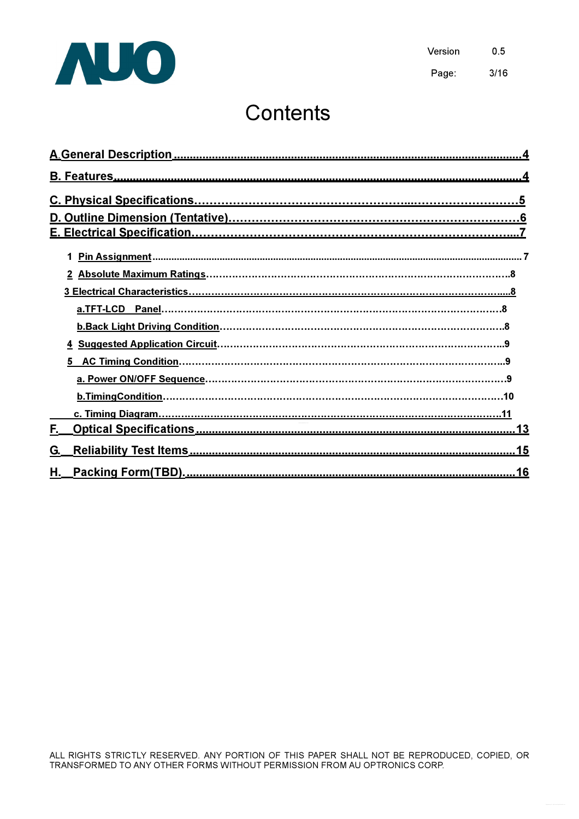

# **Contents**

| 5. |
|----|
|    |
|    |
|    |
| F. |
| G. |
| Н. |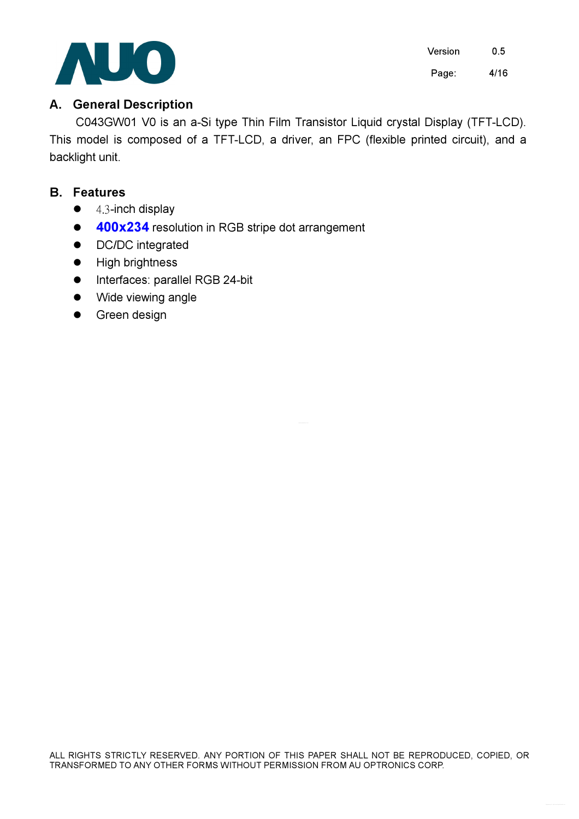

Version 0.5 Page: 4/16

### A. General Description

C043GW01 V0 is an a-Si type Thin Film Transistor Liquid crystal Display (TFT-LCD). This model is composed of a TFT-LCD, a driver, an FPC (flexible printed circuit), and a backlight unit.

### B. Features

- $\bullet$  4.3-inch display
- 400x234 resolution in RGB stripe dot arrangement
- DC/DC integrated
- **.** High brightness
- **•** Interfaces: parallel RGB 24-bit
- Wide viewing angle
- Green design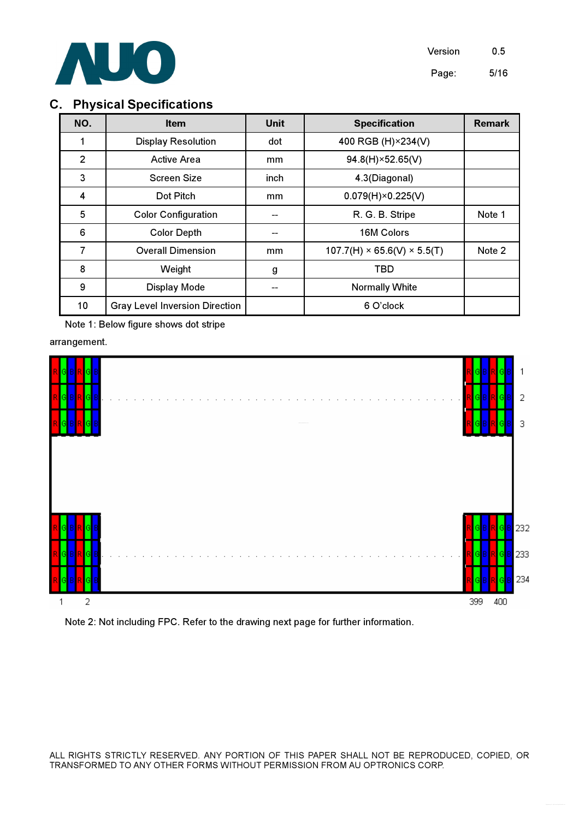

### C. Physical Specifications

| NO. | <b>Item</b>                           | <b>Unit</b> | <b>Specification</b>                    | <b>Remark</b> |
|-----|---------------------------------------|-------------|-----------------------------------------|---------------|
| 1   | <b>Display Resolution</b>             | dot         | 400 RGB (H) × 234 (V)                   |               |
| 2   | <b>Active Area</b>                    | mm          | 94.8(H)×52.65(V)                        |               |
| 3   | <b>Screen Size</b>                    | inch        | 4.3(Diagonal)                           |               |
| 4   | Dot Pitch                             | mm          | $0.079(H) \times 0.225(V)$              |               |
| 5   | <b>Color Configuration</b>            |             | R. G. B. Stripe                         | Note 1        |
| 6   | <b>Color Depth</b>                    |             | 16M Colors                              |               |
| 7   | <b>Overall Dimension</b>              | mm          | $107.7(H) \times 65.6(V) \times 5.5(T)$ | Note 2        |
| 8   | Weight                                | g           | <b>TBD</b>                              |               |
| 9   | Display Mode                          |             | <b>Normally White</b>                   |               |
| 10  | <b>Gray Level Inversion Direction</b> |             | 6 O'clock                               |               |

Note 1: Below figure shows dot stripe

arrangement.



Note 2: Not including FPC. Refer to the drawing next page for further information.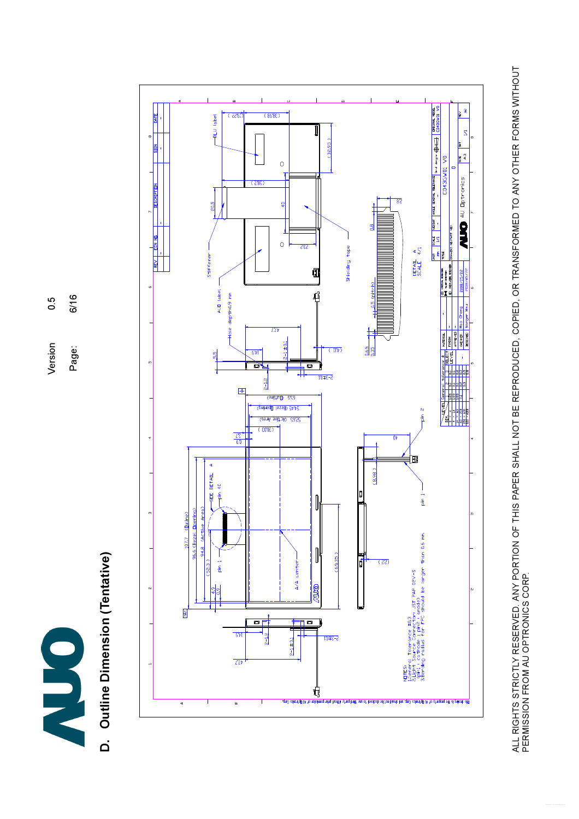

 $6/16$ Page: 6/16  $0.\overline{5}$ Version 0.5 Version Page:

# D. Outline Dimension (Tentative) D. Outline Dimension (Tentative)



ALL RIGHTS STRICTLY RESERVED. ANY PORTION OF THIS PAPER SHALL NOT BE REPRODUCED, COPIED, OR TRANSFORMED TO ANY OTHER FORMS WITHOUT<br>PERMISSION FROM AU OPTRONICS CORP. ALL RIGHTS STRICTLY RESERVED. ANY PORTION OF THIS PAPER SHALL NOT BE REPRODUCED, COPIED, OR TRANSFORMED TO ANY OTHER FORMS WITHOUT PERMISSION FROM AU OPTRONICS CORP.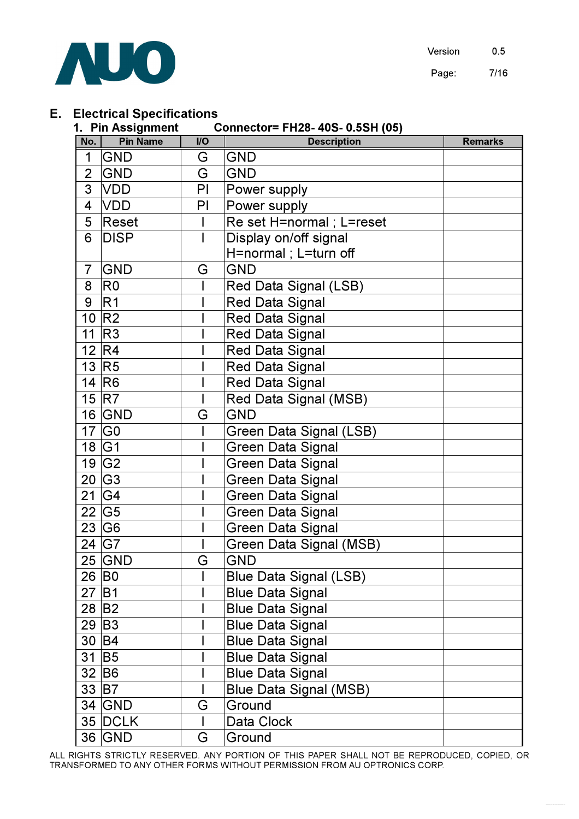

### E. Electrical Specifications

|                 | 1. Pin Assignment<br>Connector= FH28- 40S- 0.5SH (05) |                |                               |                |  |  |  |
|-----------------|-------------------------------------------------------|----------------|-------------------------------|----------------|--|--|--|
| No.             | <b>Pin Name</b>                                       | $\overline{U}$ | <b>Description</b>            | <b>Remarks</b> |  |  |  |
| 1               | GND                                                   | G              | <b>GND</b>                    |                |  |  |  |
| $\overline{2}$  | <b>GND</b>                                            | G              | <b>GND</b>                    |                |  |  |  |
| 3               | VDD                                                   | PI             | Power supply                  |                |  |  |  |
| 4               | <b>VDD</b>                                            | PI             | Power supply                  |                |  |  |  |
| 5               | Reset                                                 |                | Re set H=normal ; L=reset     |                |  |  |  |
| 6               | <b>DISP</b>                                           |                | Display on/off signal         |                |  |  |  |
|                 |                                                       |                | H=normal ; L=turn off         |                |  |  |  |
| 7               | <b>GND</b>                                            | G              | <b>GND</b>                    |                |  |  |  |
| 8               | R <sub>0</sub>                                        |                | Red Data Signal (LSB)         |                |  |  |  |
| 9               | R <sub>1</sub>                                        |                | <b>Red Data Signal</b>        |                |  |  |  |
| 10 <sup>°</sup> | R <sub>2</sub>                                        |                | <b>Red Data Signal</b>        |                |  |  |  |
| 11              | R <sub>3</sub>                                        |                | <b>Red Data Signal</b>        |                |  |  |  |
| 12 <sub>1</sub> | R4                                                    |                | <b>Red Data Signal</b>        |                |  |  |  |
| 13 <sup>2</sup> | R5                                                    |                | <b>Red Data Signal</b>        |                |  |  |  |
|                 | 14 R <sub>6</sub>                                     |                | Red Data Signal               |                |  |  |  |
|                 | 15 R7                                                 |                | Red Data Signal (MSB)         |                |  |  |  |
|                 | 16 GND                                                | G              | <b>GND</b>                    |                |  |  |  |
| 17              | G <sub>0</sub>                                        |                | Green Data Signal (LSB)       |                |  |  |  |
|                 | 18 G1                                                 |                | <b>Green Data Signal</b>      |                |  |  |  |
|                 | 19 G <sub>2</sub>                                     |                | <b>Green Data Signal</b>      |                |  |  |  |
|                 | 20 G3                                                 |                | <b>Green Data Signal</b>      |                |  |  |  |
| 21              | G4                                                    |                | <b>Green Data Signal</b>      |                |  |  |  |
|                 | 22 G5                                                 |                | <b>Green Data Signal</b>      |                |  |  |  |
|                 | 23 G <sub>6</sub>                                     |                | <b>Green Data Signal</b>      |                |  |  |  |
|                 | 24 G7                                                 |                | Green Data Signal (MSB)       |                |  |  |  |
|                 | $25$ GND                                              | G              | <b>GND</b>                    |                |  |  |  |
|                 | 26 B <sub>0</sub>                                     |                | <b>Blue Data Signal (LSB)</b> |                |  |  |  |
|                 | 27 B1                                                 |                | <b>Blue Data Signal</b>       |                |  |  |  |
|                 | 28 B <sub>2</sub>                                     |                | <b>Blue Data Signal</b>       |                |  |  |  |
|                 | 29 B <sub>3</sub>                                     |                | <b>Blue Data Signal</b>       |                |  |  |  |
|                 | 30 B4                                                 |                | <b>Blue Data Signal</b>       |                |  |  |  |
|                 | $31$ B <sub>5</sub>                                   |                | <b>Blue Data Signal</b>       |                |  |  |  |
|                 | 32 B6                                                 |                | <b>Blue Data Signal</b>       |                |  |  |  |
|                 | 33 B7                                                 |                | <b>Blue Data Signal (MSB)</b> |                |  |  |  |
|                 | $34$ GND                                              | G              | Ground                        |                |  |  |  |
|                 | 35 DCLK                                               |                | Data Clock                    |                |  |  |  |
|                 | 36 GND                                                | G              | Ground                        |                |  |  |  |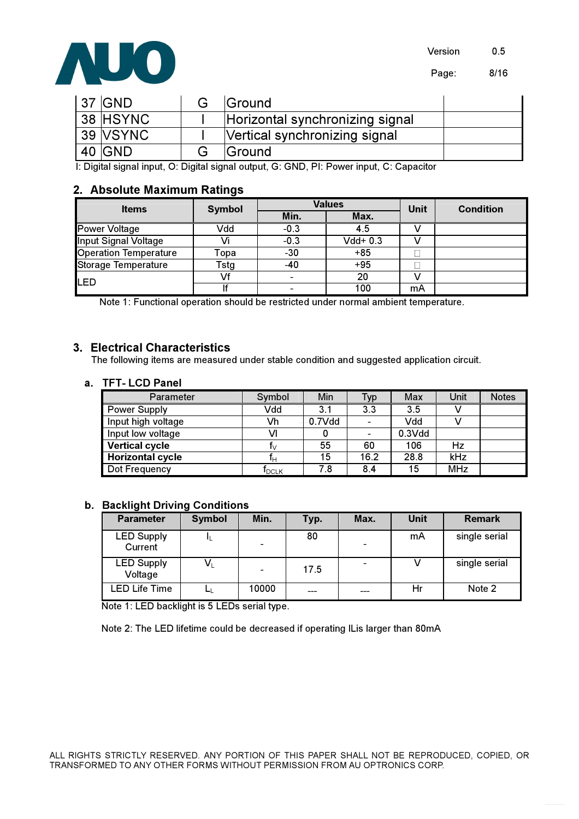

Page: 8/16

| 37   GND | <b>IGround</b>                  |  |
|----------|---------------------------------|--|
| 38 HSYNC | Horizontal synchronizing signal |  |
| 39 VSYNC | Vertical synchronizing signal   |  |
| 40 GND   | <b>Sround</b>                   |  |

I: Digital signal input, O: Digital signal output, G: GND, PI: Power input, C: Capacitor

### 2. Absolute Maximum Ratings

| <b>Items</b>                 | <b>Symbol</b> |              | <b>Values</b> | Unit | <b>Condition</b> |
|------------------------------|---------------|--------------|---------------|------|------------------|
|                              |               | Min.<br>Max. |               |      |                  |
| <b>Power Voltage</b>         | Vdd           | $-0.3$       | 4.5           |      |                  |
| Input Signal Voltage         |               | $-0.3$       | $Vdd+ 0.3$    |      |                  |
| <b>Operation Temperature</b> | Topa          | $-30$        | $+85$         |      |                  |
| <b>Storage Temperature</b>   | Tstg          | -40          | $+95$         |      |                  |
| <b>LED</b>                   | Vf            |              | 20            |      |                  |
|                              |               |              | 100           | mA   |                  |

Note 1: Functional operation should be restricted under normal ambient temperature.

### 3. Electrical Characteristics

The following items are measured under stable condition and suggested application circuit.

### a. TFT- LCD Panel

| Parameter               | Symbol                       | Min    | Typ  | Max          | Unit       | <b>Notes</b> |
|-------------------------|------------------------------|--------|------|--------------|------------|--------------|
| <b>Power Supply</b>     | Vdd                          | 3.1    | 3.3  | 3.5          |            |              |
| Input high voltage      | Vh                           | 0.7Vdd |      | Vdd          |            |              |
| Input low voltage       | VI                           |        |      | $0.3$ $V$ dd |            |              |
| <b>Vertical cycle</b>   | I٧                           | 55     | 60   | 106          | Hz         |              |
| <b>Horizontal cycle</b> | IΗ                           | 15     | 16.2 | 28.8         | kHz        |              |
| Dot Frequency           | $\mathsf{T}_{\mathsf{DCLK}}$ | 7.8    | 8.4  | 15           | <b>MHz</b> |              |

### b. Backlight Driving Conditions

| <b>Parameter</b>             | <b>Symbol</b> | Min.                     | Typ. | Max. | Unit | <b>Remark</b> |
|------------------------------|---------------|--------------------------|------|------|------|---------------|
| <b>LED Supply</b><br>Current |               |                          | 80   |      | mA   | single serial |
| <b>LED Supply</b><br>Voltage | V١            | $\overline{\phantom{0}}$ | 17.5 |      |      | single serial |
| <b>LED Life Time</b>         |               | 10000                    |      |      | Hr   | Note 2        |

Note 1: LED backlight is 5 LEDs serial type.

Note 2: The LED lifetime could be decreased if operating ILis larger than 80mA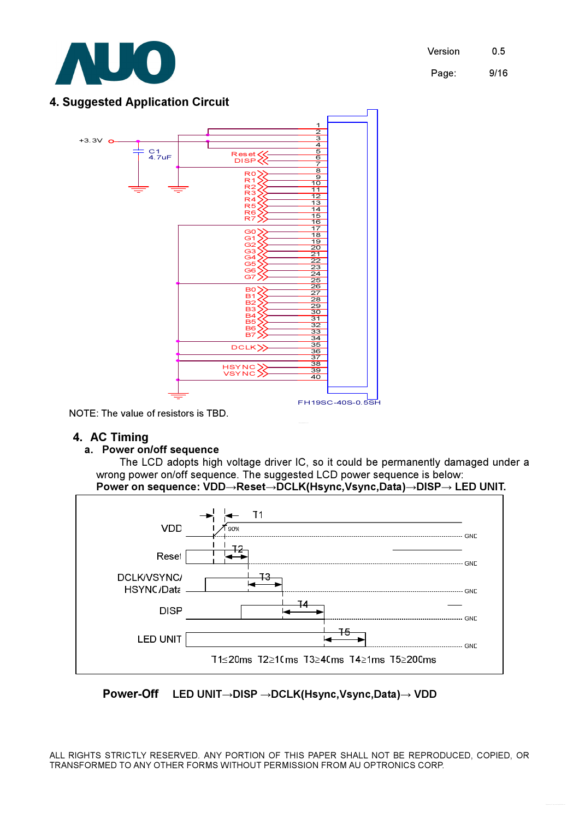

### 4. Suggested Application Circuit



NOTE: The value of resistors is TBD.

### 4. AC Timing

### a. Power on/off sequence

The LCD adopts high voltage driver IC, so it could be permanently damaged under a wrong power on/off sequence. The suggested LCD power sequence is below: Power on sequence: VDD→Reset→DCLK(Hsync,Vsync,Data)→DISP→ LED UNIT.



### Power-Off LED UNIT→DISP →DCLK(Hsync,Vsync,Data)→ VDD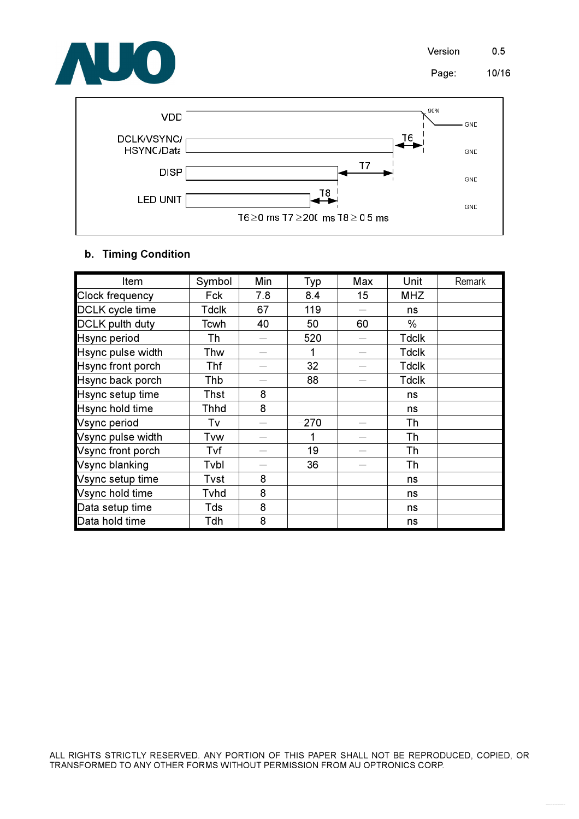



### b. Timing Condition

| Item                   | Symbol       | Min | Typ  | Max | Unit         | Remark |
|------------------------|--------------|-----|------|-----|--------------|--------|
| <b>Clock frequency</b> | Fck          | 7.8 | 8.4  | 15  | <b>MHZ</b>   |        |
| DCLK cycle time        | <b>Tdclk</b> | 67  | 119  |     | ns           |        |
| <b>DCLK</b> pulth duty | Tcwh         | 40  | 50   | 60  | $\%$         |        |
| <b>Hsync period</b>    | Th           |     | 520  |     | <b>Tdclk</b> |        |
| Hsync pulse width      | Thw          |     |      |     | <b>Tdclk</b> |        |
| Hsync front porch      | Thf          |     | 32   |     | <b>Tdclk</b> |        |
| Hsync back porch       | Thb          |     | 88   |     | <b>Tdclk</b> |        |
| Hsync setup time       | Thst         | 8   |      |     | ns           |        |
| Hsync hold time        | Thhd         | 8   |      |     | ns           |        |
| Vsync period           | Tv           |     | -270 |     | Th           |        |
| Vsync pulse width      | Tvw          |     |      |     | Th           |        |
| Vsync front porch      | Tvf          |     | 19   |     | Th           |        |
| Vsync blanking         | Tvbl         |     | 36   |     | Th           |        |
| Vsync setup time       | Tvst         | 8   |      |     | ns           |        |
| Vsync hold time        | Tvhd         | 8   |      |     | ns           |        |
| Data setup time        | Tds          | 8   |      |     | ns           |        |
| Data hold time         | Tdh          | 8   |      |     | ns           |        |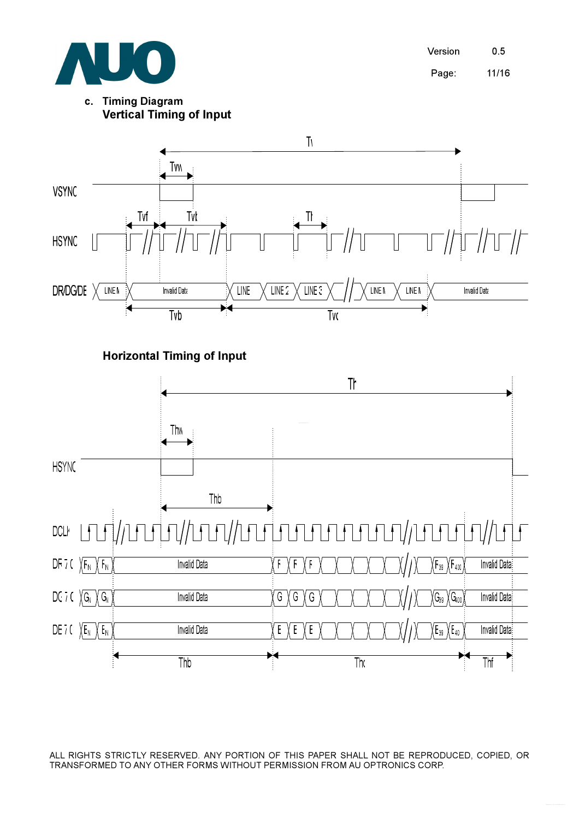

Version 0.5 Page: 11/16

c. Timing Diagram Vertical Timing of Input



Horizontal Timing of Input

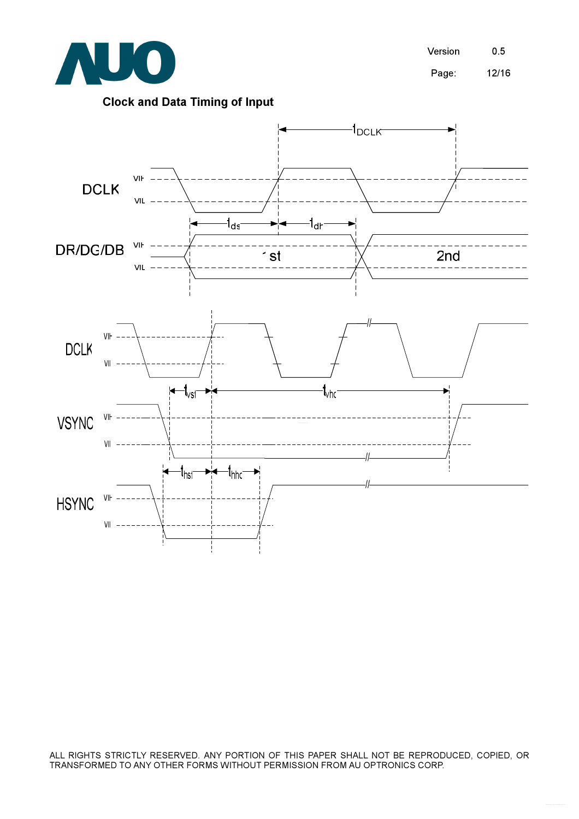

Version 0.5 Page: 12/16

### Clock and Data Timing of Input

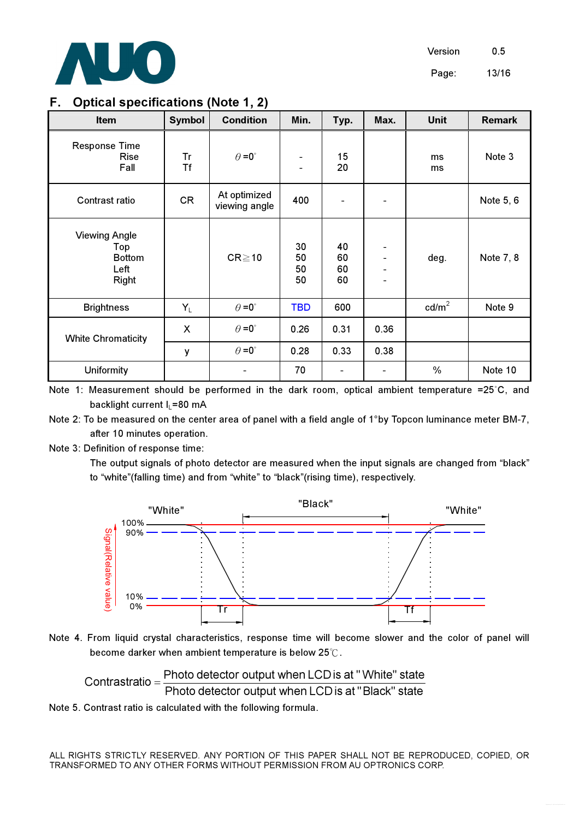

### F. Optical specifications (Note 1, 2)

| <b>Item</b>                                                   | <b>Symbol</b>             | <b>Condition</b>              | Min.                                       | Typ.                 | Max.                     | <b>Unit</b>     | <b>Remark</b> |
|---------------------------------------------------------------|---------------------------|-------------------------------|--------------------------------------------|----------------------|--------------------------|-----------------|---------------|
| <b>Response Time</b><br><b>Rise</b><br>Fall                   | Tr<br><b>Tf</b>           | $\theta = 0^{\circ}$          | $\blacksquare$<br>$\overline{\phantom{a}}$ | 15<br>20             |                          | ms<br>ms        | Note 3        |
| Contrast ratio                                                | CR                        | At optimized<br>viewing angle | 400                                        |                      |                          |                 | Note 5, 6     |
| <b>Viewing Angle</b><br>Top<br><b>Bottom</b><br>Left<br>Right |                           | $CR \ge 10$                   | 30<br>50<br>50<br>50                       | 40<br>60<br>60<br>60 | $\blacksquare$<br>-<br>- | deg.            | Note 7, 8     |
| <b>Brightness</b>                                             | $Y_L$                     | $\theta = 0^{\circ}$          | <b>TBD</b>                                 | 600                  |                          | $\text{cd/m}^2$ | Note 9        |
| <b>White Chromaticity</b>                                     | $\boldsymbol{\mathsf{X}}$ | $\theta = 0^{\circ}$          | 0.26                                       | 0.31                 | 0.36                     |                 |               |
|                                                               | У                         | $\theta = 0^{\circ}$          | 0.28                                       | 0.33                 | 0.38                     |                 |               |
| Uniformity                                                    |                           |                               | 70                                         |                      |                          | $\frac{0}{0}$   | Note 10       |

Note 1: Measurement should be performed in the dark room, optical ambient temperature =25°C, and backlight current  $I_1$ =80 mA

Note 2: To be measured on the center area of panel with a field angle of 1°by Topcon luminance meter BM-7,  $\,$ after 10 minutes operation.

Note 3: Definition of response time:

 The output signals of photo detector are measured when the input signals are changed from "black" to "white"(falling time) and from "white" to "black"(rising time), respectively.





Contrastratio = 
$$
\frac{Photo \text{ detector output when LCD is at "White" state}}{Photo \text{ detector output when LCD is at "Black" state}}
$$

Note 5. Contrast ratio is calculated with the following formula.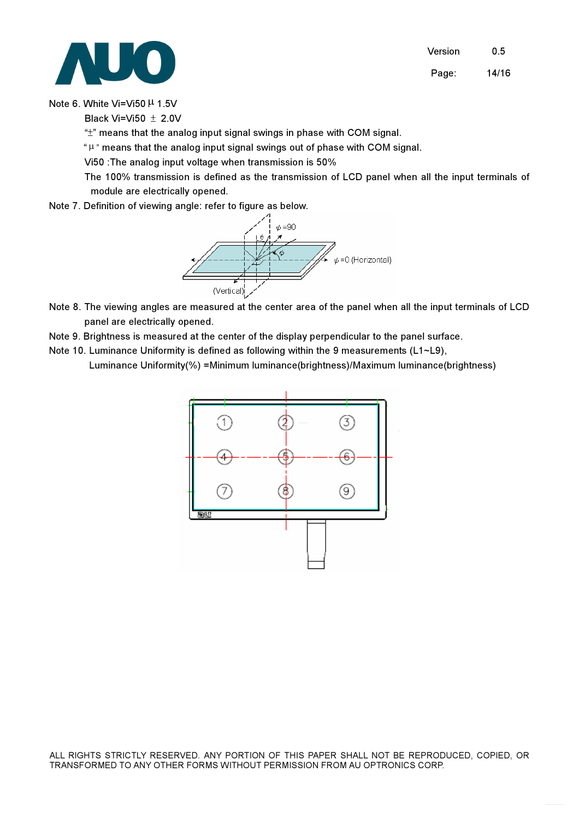Version 0.5 Page: 14/16



Note 6. White Vi=Vi50 µ 1.5V

Black Vi=Vi50  $\pm$  2.0V

 $H^*$ " means that the analog input signal swings in phase with COM signal.

" $\mu$ " means that the analog input signal swings out of phase with COM signal.

Vi50 :The analog input voltage when transmission is 50%

The 100% transmission is defined as the transmission of LCD panel when all the input terminals of module are electrically opened.

Note 7. Definition of viewing angle: refer to figure as below.



- Note 8. The viewing angles are measured at the center area of the panel when all the input terminals of LCD panel are electrically opened.
- Note 9. Brightness is measured at the center of the display perpendicular to the panel surface.
- Note 10. Luminance Uniformity is defined as following within the 9 measurements (L1~L9), Luminance Uniformity(%) =Minimum luminance(brightness)/Maximum luminance(brightness)

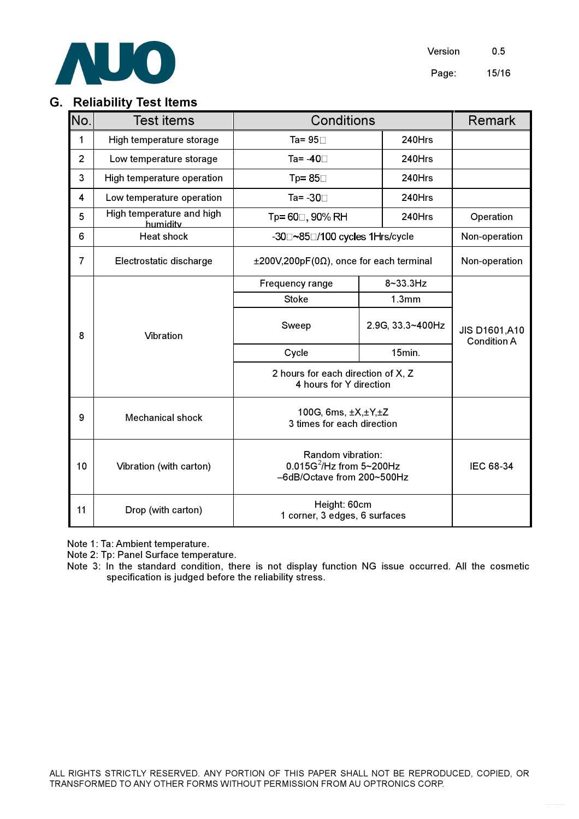

### G. Reliability Test Items

| No.            | <b>Test items</b>                     | Conditions                                                                     | Remark           |                                             |
|----------------|---------------------------------------|--------------------------------------------------------------------------------|------------------|---------------------------------------------|
| 1              | High temperature storage              | Ta= $95\Box$                                                                   | 240Hrs           |                                             |
| $\overline{2}$ | Low temperature storage               | Ta= -40□                                                                       | 240Hrs           |                                             |
| 3              | High temperature operation            | Tp= $85\Box$                                                                   | 240Hrs           |                                             |
| 4              | Low temperature operation             | Ta= -30□                                                                       | 240Hrs           |                                             |
| 5              | High temperature and high<br>humidity | Tp= 60□, 90% RH                                                                | 240Hrs           | Operation                                   |
| 6              | <b>Heat shock</b>                     | -30□~85□/100 cycles 1Hrs/cycle                                                 |                  | Non-operation                               |
| $\overline{7}$ | Electrostatic discharge               | $\pm 200V, 200pF(0\Omega)$ , once for each terminal                            | Non-operation    |                                             |
|                |                                       | Frequency range                                                                | 8~33.3Hz         |                                             |
|                |                                       | <b>Stoke</b>                                                                   | 1.3mm            | <b>JIS D1601, A10</b><br><b>Condition A</b> |
| 8              | Vibration                             | Sweep                                                                          | 2.9G, 33.3~400Hz |                                             |
|                |                                       | Cycle                                                                          | 15min.           |                                             |
|                |                                       | 2 hours for each direction of X, Z<br>4 hours for Y direction                  |                  |                                             |
| 9              | <b>Mechanical shock</b>               | 100G, 6ms, ±X,±Y,±Z<br>3 times for each direction                              |                  |                                             |
| 10             | Vibration (with carton)               | Random vibration:<br>$0.015G^2$ /Hz from 5~200Hz<br>-6dB/Octave from 200~500Hz | IEC 68-34        |                                             |
| 11             | Drop (with carton)                    | Height: 60cm<br>1 corner, 3 edges, 6 surfaces                                  |                  |                                             |

Note 1: Ta: Ambient temperature.

Note 2: Tp: Panel Surface temperature.

Note 3: In the standard condition, there is not display function NG issue occurred. All the cosmetic specification is judged before the reliability stress.